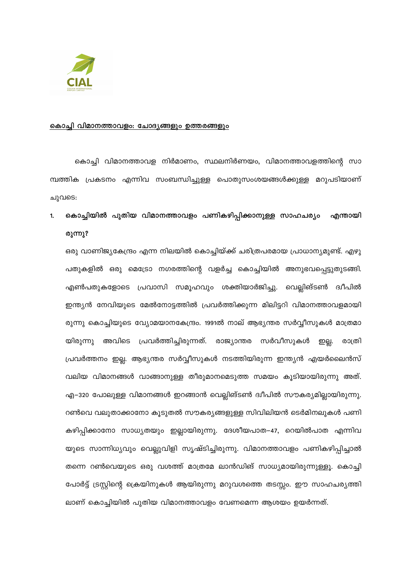

#### കൊച്ചി വിമാനത്താവളം: ചോദ്യങ്ങളും ഉത്തരങ്ങളും

കൊച്ചി വിമാനത്താവള നിർമാണം, സ്ഥലനിർണയം, വിമാനത്താവളത്തിന്റെ സാ മ്പത്തിക പ്രകടനം എന്നിവ സംബന്ധിച്ചുള്ള പൊതുസംശയങ്ങൾക്കുള്ള മറുപടിയാണ് ചുവടെ:

### കൊച്ചിയിൽ പുതിയ വിമാനത്താവളം പണികഴിപ്പിക്കാനുള്ള സാഹചര്യം എന്തായി  $\mathbf{1}$ രുന്നു?

ഒരു വാണിജ്യകേന്ദ്രം എന്ന നിലയിൽ കൊച്ചിയ്ക്ക് ചരിത്രപരമായ പ്രാധാന്യമുണ്ട്. എഴു പതുകളിൽ ഒരു മെട്രോ നഗരത്തിന്റെ വളർച്ച കൊച്ചിയിൽ അനുഭവപ്പെട്ടുതുടങ്ങി. എൺപതുകളോടെ പ്രവാസി സമൂഹവും ശക്തിയാർജിച്ചു. വെല്ലിങ്ടൺ ദ്വീപിൽ ഇന്ത്യൻ നേവിയുടെ മേൽനോട്ടത്തിൽ പ്രവർത്തിക്കുന്ന മിലിട്ടറി വിമാനത്താവളമായി രുന്നു കൊച്ചിയുടെ വ്യോമയാനകേന്ദ്രം. 1991ൽ നാല് ആഭ്യന്തര സർവ്വീസുകൾ മാത്രമാ യിരുന്നു അവിടെ പ്രവർത്തിച്ചിരുന്നത്. രാജ്യാന്തര സർവീസുകൾ ഇല്ല. രാതി പ്രവർത്തനം ഇല്ല. ആഭ്യന്തര സർവ്വീസുകൾ നടത്തിയിരുന്ന ഇന്ത്യൻ എയർലൈൻസ് വലിയ വിമാനങ്ങൾ വാങ്ങാനുള്ള തീരുമാനമെടുത്ത സമയം കൂടിയായിരുന്നു അത്. എ–320 പോലുള്ള വിമാനങ്ങൾ ഇറങ്ങാൻ വെല്ലിങ്ടൺ ദ്വീപിൽ സൗകര്യമില്ലായിരുന്നു. റൺവെ വലുതാക്കാനോ കൂടുതൽ സൗകര്യങ്ങളുള്ള സിവിലിയൻ ടെർമിനലുകൾ പണി കഴിപ്പിക്കാനോ സാധ്യതയും ഇല്ലായിരുന്നു. ദേശീയപാത–47, റെയിൽപാത എന്നിവ യുടെ സാന്നിധ്യവും വെല്ലുവിളി സൃഷ്ടിച്ചിരുന്നു. വിമാനത്താവളം പണികഴിപ്പിച്ചാൽ തന്നെ റൺവെയുടെ ഒരു വശത്ത് മാത്രമേ ലാൻഡിങ് സാധ്യമായിരുന്നുള്ളൂ. കൊച്ചി പോർട്ട് ട്രസ്റ്റിന്റെ ക്രെയിനുകൾ ആയിരുന്നു മറുവശത്തെ തടസ്സം. ഈ സാഹചര്യത്തി ലാണ് കൊച്ചിയിൽ പുതിയ വിമാനത്താവളം വേണമെന്ന ആശയം ഉയർന്നത്.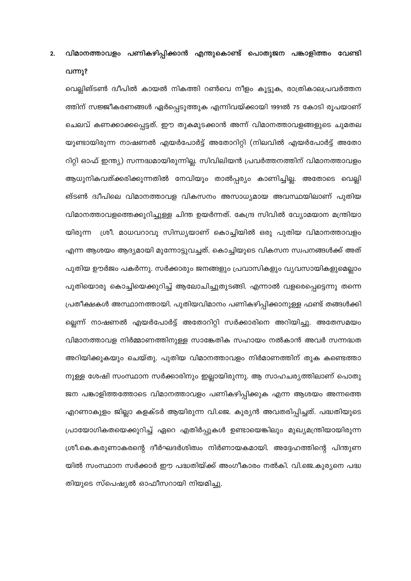### വിമാനത്താവളം പണികഴിപ്പിക്കാൻ എന്തുകൊണ്ട് പൊതുജന പങ്കാളിത്തം വേണ്ടി  $2.$ വന്നു?

വെല്ലിങ്ടൺ ദ്വീപിൽ കായൽ നികത്തി റൺവെ നീളം കൂട്ടുക, രാത്രികാലപ്രവർത്തന ത്തിന് സജ്ജീകരണങ്ങൾ ഏർപ്പെടുത്തുക എന്നിവയ്ക്കായി 1991ൽ 75 കോടി രൂപയാണ് ചെലവ് കണക്കാക്കപ്പെട്ടത്. ഈ തുകമുടക്കാൻ അന്ന് വിമാനത്താവളങ്ങളുടെ ചുമതല യുണ്ടായിരുന്ന നാഷണൽ എയർപോർട്ട് അതോറിറ്റി (നിലവിൽ എയർപോർട്ട് അതോ റിറ്റി ഓഫ് ഇന്ത്യ) സന്നദ്ധമായിരുന്നില്ല. സിവിലിയൻ പ്രവർത്തനത്തിന് വിമാനത്താവളം ആധുനികവത്ക്കരിക്കുന്നതിൽ നേവിയും താൽപ്പര്യം കാണിച്ചില്ല. അതോടെ വെല്ലി ങ്ടൺ ദ്വീപിലെ വിമാനത്താവള വികസനം അസാധ്യമായ അവസ്ഥയിലാണ് പുതിയ വിമാനത്താവളത്തെക്കുറിച്ചുള്ള ചിന്ത ഉയർന്നത്. കേന്ദ്ര സിവിൽ വ്യോമയാന മന്ത്രിയാ യിരുന്ന ശ്രീ. മാധവറാവു സിന്ധ്യയാണ് കൊച്ചിയിൽ ഒരു പുതിയ വിമാനത്താവളം എന്ന ആശയം ആദ്യമായി മുന്നോട്ടുവച്ചത്. കൊച്ചിയുടെ വികസന സ്വപനങ്ങൾക്ക് അത് പുതിയ ഊർജം പകർന്നു. സർക്കാരും ജനങ്ങളും പ്രവാസികളും വ്യവസായികളുമെല്ലാം പുതിയൊരു കൊച്ചിയെക്കുറിച്ച് ആലോചിച്ചുതുടങ്ങി. എന്നാൽ വളരെപ്പെട്ടെന്നു തന്നെ പ്രതീക്ഷകൾ അസ്ഥാനത്തായി. പുതിയവിമാനം പണികഴിപ്പിക്കാനുള്ള ഫണ്ട് തങ്ങൾക്കി ല്ലെന്ന് നാഷണൽ എയർപോർട്ട് അതോറിറ്റി സർക്കാരിനെ അറിയിച്ചു. അതേസമയം വിമാനത്താവള നിർമ്മാണത്തിനുള്ള സാങ്കേതിക സഹായം നൽകാൻ അവർ സന്നദ്ധത അറിയിക്കുകയും ചെയ്തു. പുതിയ വിമാനത്താവളം നിർമാണത്തിന് തുക കണ്ടെത്താ നുള്ള ശേഷി സംസ്ഥാന സർക്കാരിനും ഇല്ലായിരുന്നു. ആ സാഹചര്യത്തിലാണ് പൊതു ജന പങ്കാളിത്തത്തോടെ വി<mark>മാനത്താവളം പണികഴിപ്പിക്കുക എന്ന ആശയം അന്ന</mark>ത്തെ എറണാകുളം ജില്ലാ കളക്ടർ ആയിരുന്ന വി.ജെ. കുര്യൻ അവതരിപ്പിച്ചത്. പദ്ധതിയുടെ പ്രായോഗികതയെക്കുറിച്ച് ഏറെ എതിർപ്പുകൾ ഉണ്ടായെങ്കിലും മുഖ്യമന്ത്രിയായിരുന്ന ശ്രീ.കെ.കരുണാകരന്റെ ദീർഘദർശിത്വം നിർണായകമായി. അദ്ദേഹത്തിന്റെ പിന്തുണ യിൽ സംസ്ഥാന സർക്കാർ ഈ പദ്ധതിയ്ക്ക് അംഗീകാരം നൽകി. വി.ജെ.കുര്യനെ പദ്ധ തിയുടെ സ്പെഷ്യൽ ഓഫീസറായി നിയമിച്ചു.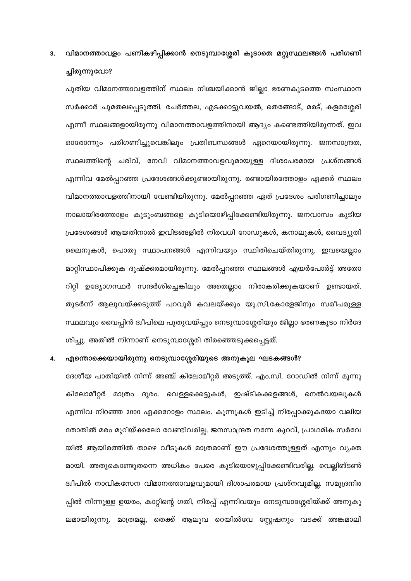#### വിമാനത്താവളം പണികഴിപ്പിക്കാൻ നെടുമ്പാശ്ശേരി കൂടാതെ മറ്റുസ്ഥലങ്ങൾ പരിഗണി 3.

#### ച്ചിരുന്നുവോ?

പുതിയ വിമാനത്താവളത്തിന് സ്ഥലം നിശ്ചയിക്കാൻ ജില്ലാ ഭരണകൂടത്തെ സംസ്ഥാന സർക്കാർ ചുമതലപ്പെടുത്തി. ചേർത്തല, എടക്കാട്ടുവയൽ, തെങ്ങോട്, മരട്, കളമശ്ശേരി എന്നീ സ്ഥലങ്ങളായിരുന്നു വിമാനത്താവളത്തിനായി ആദ്യം കണ്ടെത്തിയിരുന്നത്. ഇവ ഓരോന്നും പരിഗണിച്ചുവെങ്കിലും പ്രതിബന്ധങ്ങൾ ഏറെയായിരുന്നു. ജനസാന്ദ്രത, സ്ഥലത്തിന്റെ ചരിവ്, നേവി വിമാനത്താവളവുമായുള്ള ദിശാപരമായ പ്രശ്നങ്ങൾ എന്നിവ മേൽപ്പറഞ്ഞ പ്രദേശങ്ങൾക്കുണ്ടായിരുന്നു. രണ്ടായിരത്തോളം ഏക്കർ സ്ഥലം വിമാനത്താവളത്തിനായി വേണ്ടിയിരുന്നു. മേൽപ്പറഞ്ഞ ഏത് പ്രദേശം പരിഗണിച്ചാലും നാലായിരത്തോളം കുടുംബങ്ങളെ കുടിയൊഴിപ്പിക്കേണ്ടിയിരുന്നു. ജനവാസം കൂടിയ പ്രദേശങ്ങൾ ആയതിനാൽ ഇവിടങ്ങളിൽ നിരവധി റോഡുകൾ, കനാലുകൾ, വൈദ്യുതി ലൈനുകൾ, പൊതു സ്ഥാപനങ്ങൾ എന്നിവയും സ്ഥിതിചെയ്തിരുന്നു. ഇവയെല്ലാം മാറ്റിസ്ഥാപിക്കുക ദുഷ്ക്കരമായിരുന്നു. മേൽപ്പറഞ്ഞ സ്ഥലങ്ങൾ എയർപോർട്ട് അതോ റിറ്റി ഉദ്യോഗസ്ഥർ സന്ദർശിച്ചെങ്കിലും അതെല്ലാം നിരാകരിക്കുകയാണ് ഉണ്ടായത്. തുടർന്ന് ആലുവയ്ക്കടുത്ത് പറവൂർ കവലയ്ക്കും യു.സി.കോളേജിനും സമീപമുള്ള സ്ഥലവും വൈപ്പിൻ ദ്വീപിലെ പുതുവയ്പ്പും നെടുമ്പാശ്ശേരിയും ജില്ലാ ഭരണകൂടം നിർദേ ശിച്ചു. അതിൽ നിന്നാണ് നെടുമ്പാശ്ശേരി തിരഞ്ഞെടുക്കപ്പെട്ടത്.

#### എന്തൊക്കെയായിരുന്നു നെടുമ്പാശ്ശേരിയുടെ അനുകൂല ഘടകങ്ങൾ?  $\overline{\mathbf{A}}$ .

ദേശീയ പാതിയിൽ നിന്ന് അഞ്ച് കിലോമീറ്റർ അടുത്ത്. എം.സി. റോഡിൽ നിന്ന് മൂന്നു കിലോമീറ്റർ മാത്രം ദൂരം. വെള്ളക്കെട്ടുകൾ, ഇഷ്ടികക്കളങ്ങൾ, നെൽവയലുകൾ എന്നിവ നിറഞ്ഞ 2000 ഏക്കറോളം സ്ഥലം. കുന്നുകൾ ഇടിച്ച് നിരപ്പാക്കുകയോ വലിയ തോതിൽ മരം മുറിയ്ക്കലോ വേണ്ടിവരില്ല. ജനസാന്ദ്രത നന്നേ കുറവ്, പ്രാഥമിക സർവേ യിൽ ആയിരത്തിൽ താഴെ വീടുകൾ മാത്രമാണ് ഈ പ്രദേശത്തുള്ളത് എന്നും വ്യക്ത മായി. അതുകൊണ്ടുതന്നെ അധികം പേരെ കുടിയൊഴുപ്പിക്കേണ്ടിവരില്ല. വെല്ലിങ്ടൺ ദ്വീപിൽ നാവികസേന വിമാനത്താവളവുമായി ദിശാപരമായ പ്രശ്നവുമില്ല. സമുദ്രനിര പ്പിൽ നിന്നുള്ള ഉയരം, കാറ്റിന്റെ ഗതി, നിരപ്പ് എന്നിവയും നെടുമ്പാശ്ശേരിയ്ക്ക് അനുകൂ ലമായിരുന്നു. മാത്രമല്ല, തെക്ക് ആലുവ റെയിൽവേ സ്റ്റേഷനും വടക്ക് അങ്കമാലി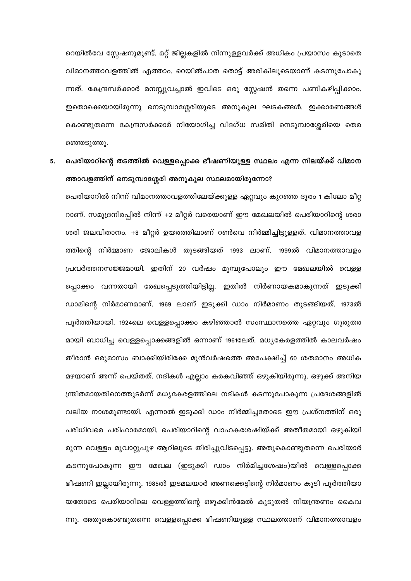റെയിൽവേ സ്റ്റേഷനുമുണ്ട്. മറ്റ് ജില്ലകളിൽ നിന്നുള്ളവർക്ക് അധികം പ്രയാസം കൂടാതെ വിമാനത്താവളത്തിൽ എത്താം. റെയിൽപാത തൊട്ട് അരികിലൂടെയാണ് കടന്നുപോകു ന്നത്. കേന്ദ്രസർക്കാർ മനസ്സുവച്ചാൽ ഇവിടെ ഒരു സ്റ്റേഷൻ തന്നെ പണികഴിപ്പിക്കാം. ഇതൊക്കെയായിരുന്നു നെടുമ്പാശ്ശേരിയുടെ അനുകൂല ഘടകങ്ങൾ. ഇക്കാരണങ്ങൾ കൊണ്ടുതന്നെ കേന്ദ്രസർക്കാർ നിയോഗിച്ച വിദഗ്ധ സമിതി നെടുമ്പാശ്ശേരിയെ തെര ഞ്ഞെടുത്തു.

#### പെരിയാറിന്റെ തടത്തിൽ വെള്ളപ്പൊക്ക ഭീഷണിയുള്ള സ്ഥലം എന്ന നിലയ്ക്ക് വിമാന 5. ത്താവളത്തിന് നെടുമ്പാശ്ശേരി അനുകൂല സ്ഥലമായിരുന്നോ?

പെരിയാറിൽ നിന്ന് വിമാനത്താവളത്തിലേയ്ക്കുള്ള ഏറ്റവും കുറഞ്ഞ ദൂരം 1 കിലോ മീറ്റ റാണ്. സമുദ്രനിരപ്പിൽ നിന്ന് +2 മീറ്റർ വരെയാണ് ഈ മേഖലയിൽ പെരിയാറിന്റെ ശരാ ശരി ജലവിതാനം. +8 മീറ്റർ ഉയരത്തിലാണ് റൺവെ നിർമ്മിച്ചിട്ടുള്ളത്. വിമാനത്താവള ത്തിന്റെ നിർമ്മാണ ജോലികൾ തുടങ്ങിയത് 1993 ലാണ്. 1999ൽ വിമാനത്താവളം പ്രവർത്തനസജ്ജമായി. ഇതിന് 20 വർഷം മുമ്പുപോലും ഈ മേഖലയിൽ വെള്ള പ്പൊക്കം വന്നതായി രേഖപ്പെടുത്തിയിട്ടില്ല. ഇതിൽ നിർണായകമാകുന്നത് ഇടുക്കി ഡാമിന്റെ നിർമാണമാണ്. 1969 ലാണ് ഇടുക്കി ഡാം നിർമാണം തുടങ്ങിയത്. 1973ൽ പൂർത്തിയായി. 1924ലെ വെള്ളപ്പൊക്കം കഴിഞ്ഞാൽ സംസ്ഥാനത്തെ ഏറ്റവും ഗുരുതര മായി ബാധിച്ച വെള്ളപ്പൊക്കങ്ങളിൽ ഒന്നാണ് 1961ലേത്. മധ്യകേരളത്തിൽ കാലവർഷം തീരാൻ ഒരുമാസം ബാക്കിയിരിക്കേ മുൻവർഷത്തെ അപേക്ഷിച്ച് 60 ശതമാനം അധിക മഴയാണ് അന്ന് പെയ്തത്. നദികൾ എല്ലാം കരകവിഞ്ഞ് ഒഴുകിയിരുന്നു. ഒഴുക്ക് അനിയ ന്ത്രിതമായതിനെത്തുടർന്ന് മധ്യകേരളത്തിലെ നദികൾ കടന്നുപോകുന്ന പ്രദേശങ്ങളിൽ വലിയ നാശമുണ്ടായി. എന്നാൽ ഇടുക്കി ഡാം നിർമ്മിച്ചതോടെ ഈ പ്രശ്നത്തിന് ഒരു പരിധിവരെ പരിഹാരമായി. പെരിയാറിന്റെ വാഹകശേഷിയ്ക്ക് അതീതമായി ഒഴുകിയി രുന്ന വെള്ളം മൂവാറ്റുപുഴ ആറിലൂടെ തിരിച്ചുവിടപ്പെട്ടു. അതുകൊണ്ടുതന്നെ പെരിയാർ കടന്നുപോകുന്ന ഈ മേഖല (ഇടുക്കി ഡാം നിർമിച്ചശേഷം)യിൽ വെള്ളപ്പൊക്ക ഭീഷണി ഇല്ലായിരുന്നു. 1985ൽ ഇടമലയാർ അണക്കെട്ടിന്റെ നിർമാണം കൂടി പൂർത്തിയാ യതോടെ പെരിയാറിലെ വെള്ളത്തിന്റെ ഒഴുക്കിൻമേൽ കൂടുതൽ നിയന്ത്രണം കൈവ ന്നു. അതുകൊണ്ടുതന്നെ വെള്ളപ്പൊക്ക ഭീഷണിയുള്ള സ്ഥലത്താണ് വിമാനത്താവളം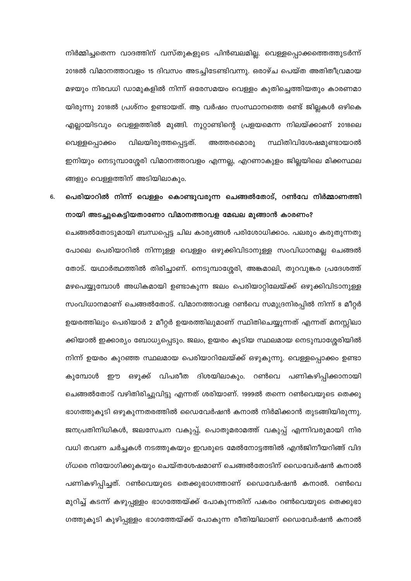നിർമ്മിച്ചതെന്ന വാദത്തിന് വസ്തുകളുടെ പിൻബലമില്ല. വെള്ളപ്പൊക്കത്തെത്തുടർന്ന് 2018ൽ വിമാനത്താവളം 15 ദിവസം അടച്ചിടേണ്ടിവന്നു. ഒരാഴ്ച പെയ്ത അതിതീവ്രമായ മഴയും നിരവധി ഡാമുകളിൽ നിന്ന് ഒരേസമയം വെള്ളം കുതിച്ചെത്തിയതും കാരണമാ യിരുന്നു 2018ൽ പ്രശ്നം ഉണ്ടായത്. ആ വർഷം സംസ്ഥാനത്തെ രണ്ട് ജില്ലകൾ ഒഴികെ എല്ലായിടവും വെള്ളത്തിൽ മുങ്ങി. നൂറ്റാണ്ടിന്റെ പ്രളയമെന്ന നിലയ്ക്കാണ് 2018ലെ വിലയിരുത്തപ്പെട്ടത്. വെള്ളപ്പൊക്കം അത്തരമൊരു സ്ഥിതിവിശേഷമുണ്ടായാൽ ഇനിയും നെടുമ്പാശ്ശേരി വിമാനത്താവളം എന്നല്ല, എറണാകുളം ജില്ലയിലെ മിക്കസ്ഥല ങ്ങളും വെള്ളത്തിന് അടിയിലാകും.

#### പെരിയാറിൽ നിന്ന് വെള്ളം കൊണ്ടുവരുന്ന ചെങ്ങൽതോട്, റൺവേ നിർമ്മാണത്തി 6. നായി അടച്ചുകെട്ടിയതാണോ വിമാനത്താവള മേഖല മുങ്ങാൻ കാരണം?

ചെങ്ങൽതോടുമായി ബന്ധപ്പെട്ട ചില കാര്യങ്ങൾ പരിശോധിക്കാം. പലരും കരുതുന്നതു പോലെ പെരിയാറിൽ നിന്നുള്ള വെള്ളം ഒഴുക്കിവിടാനുള്ള സംവിധാനമല്ല ചെങ്ങൽ തോട്. യഥാർത്ഥത്തിൽ തിരിച്ചാണ്. നെടുമ്പാശ്ശേരി, അങ്കമാലി, തുറവുങ്കര പ്രദേശത്ത് മഴപെയ്യുമ്പോൾ അധികമായി ഉണ്ടാകുന്ന ജലം പെരിയാറ്റിലേയ്ക്ക് ഒഴുക്കിവിടാനുള്ള സംവിധാനമാണ് ചെങ്ങൽതോട്. വിമാനത്താവള റൺവെ സമുദ്രനിരപ്പിൽ നിന്ന് 8 മീറ്റർ ഉയരത്തിലും പെരിയാർ 2 മീറ്റർ ഉയരത്തിലുമാണ് സ്ഥിതിചെയ്യുന്നത് എന്നത് മനസ്സിലാ ക്കിയാൽ ഇക്കാര്യം ബോധ്യപ്പെടും. ജലം, ഉയരം കൂടിയ സ്ഥലമായ നെടുമ്പാശ്ശേരിയിൽ നിന്ന് ഉയരം കുറഞ്ഞ സ്ഥലമായ പെരിയാറിലേയ്ക്ക് ഒഴുകുന്നു. വെള്ളപ്പൊക്കം ഉണ്ടാ കുമ്പോൾ ഈ ഒഴുക്ക് വിപരീത ദിശയിലാകും. റൺവെ പണികഴിപ്പിക്കാനായി ചെങ്ങൽതോട് വഴിതിരിച്ചുവിട്ടു എന്നത് ശരിയാണ്. 1999ൽ തന്നെ റൺവെയുടെ തെക്കു ഭാഗത്തുകൂടി ഒഴുകുന്നതരത്തിൽ ഡൈവേർഷൻ കനാൽ നിർമിക്കാൻ തുടങ്ങിയിരുന്നു. ജനപ്രതിനിധികൾ, ജലസേചന വകുപ്പ്, പൊതുമരാമത്ത് വകുപ്പ് എന്നിവരുമായി നിര വധി തവണ ചർച്ചകൾ നടത്തുകയും ഇവരുടെ മേൽനോട്ടത്തിൽ എൻജിനീയറിങ്ങ് വിദ ഗ്ധരെ നിയോഗിക്കുകയും ചെയ്തശേഷമാണ് ചെങ്ങൽതോടിന് ഡൈവേർഷൻ കനാൽ പണികഴിപ്പിച്ചത്. റൺവെയുടെ തെക്കുഭാഗത്താണ് ഡൈവേർഷൻ കനാൽ. റൺവെ മുറിച്ച് കടന്ന് കഴുപ്പള്ളം ഭാഗത്തേയ്ക്ക് പോകുന്നതിന് പകരം റൺവെയുടെ തെക്കുഭാ ഗത്തുകൂടി കുഴിപ്പള്ളം ഭാഗത്തേയ്ക്ക് പോകുന്ന രീതിയിലാണ് ഡൈവേർഷൻ കനാൽ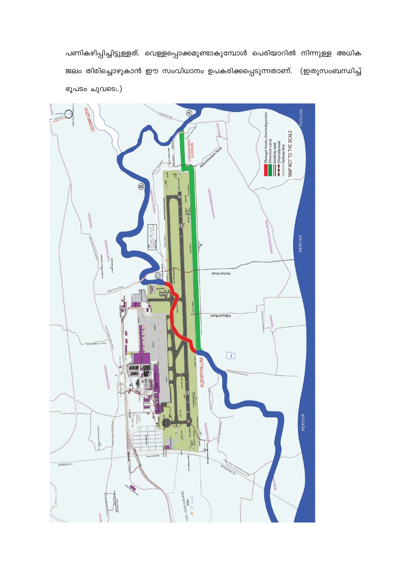പണികഴിപ്പിച്ചിട്ടുള്ളത്. വെള്ളപ്പൊക്കമുണ്ടാകുമ്പോൾ പെരിയാറിൽ നിന്നുള്ള അധിക ജലം തിരിച്ചൊഴുകാൻ ഈ സംവിധാനം ഉപകരിക്കപ്പെടുന്നതാണ്. (ഇതുസംബന്ധിച്ച് ഭൂപടം ചുവടെ:.)

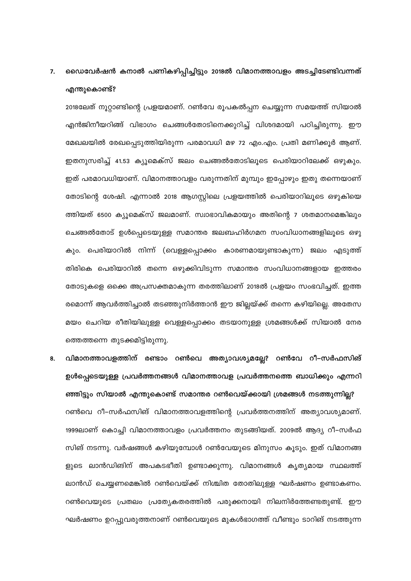#### ഡൈവേർഷൻ കനാൽ പണികഴിപ്പിച്ചിട്ടും 2018ൽ വിമാനത്താവളം അടച്ചിടേണ്ടിവന്നത് 7. എന്തുകൊണ്ട്?

2018ലേത് നൂറ്റാണ്ടിന്റെ പ്രളയമാണ്. റൺവേ രൂപകൽപ്പന ചെയ്യുന്ന സമയത്ത് സിയാൽ എൻജിനീയറിങ്ങ് വിഭാഗം ചെങ്ങൾതോടിനെക്കുറിച്ച് വിശദമായി പഠിച്ചിരുന്നു. ഈ മേഖലയിൽ രേഖപ്പെടുത്തിയിരുന്ന പരമാവധി മഴ 72 എം.എം. പ്രതി മണിക്കൂർ ആണ്. ഇതനുസരിച്ച് 41.53 ക്യൂമെക്സ് ജലം ചെങ്ങൽതോടിലൂടെ പെരിയാറിലേക്ക് ഒഴുകും. ഇത് പരമാവധിയാണ്. വിമാനത്താവളം വരുന്നതിന് മുമ്പും ഇപ്പോഴും ഇതു തന്നെയാണ് തോടിന്റെ ശേഷി. എന്നാൽ 2018 ആഗസ്റ്റിലെ പ്രളയത്തിൽ പെരിയാറിലൂടെ ഒഴുകിയെ ത്തിയത് 6500 ക്യൂമെക്സ് ജലമാണ്. സ്വാഭാവികമായും അതിന്റെ 7 ശതമാനമെങ്കിലും ചെങ്ങൽതോട് ഉൾപ്പെടെയുള്ള സമാന്തര ജലബഹിർഗമന സംവിധാനങ്ങളിലൂടെ ഒഴു കും. പെരിയാറിൽ നിന്ന് (വെള്ളപ്പൊക്കം കാരണമായുണ്ടാകുന്ന) ജലം എടുത്ത് തിരികെ പെരിയാറിൽ തന്നെ ഒഴുക്കിവിടുന്ന സമാന്തര സംവിധാനങ്ങളായ ഇത്തരം തോടുകളെ ഒക്കെ അപ്രസക്തമാകുന്ന തരത്തിലാണ് 2018ൽ പ്രളയം സംഭവിച്ചത്. ഇത്ത രമൊന്ന് ആവർത്തിച്ചാൽ തടഞ്ഞുനിർത്താൻ ഈ ജില്ലയ്ക്ക് തന്നെ കഴിയില്ലെ. അതേസ മയം ചെറിയ രീതിയിലുള്ള വെള്ളപ്പൊക്കം തടയാനുള്ള ശ്രമങ്ങൾക്ക് സിയാൽ നേര ത്തെത്തന്നെ തുടക്കമിട്ടിരുന്നു.

# വിമാനത്താവളത്തിന് രണ്ടാം റൺവെ അത്യാവശ്യമല്ലേ? റൺവേ റീ–സർഫസിങ് 8. ഉൾപ്പെടെയുള്ള പ്രവർത്തനങ്ങൾ വിമാനത്താവള പ്രവർത്തനത്തെ ബാധിക്കും എന്നറി ഞ്ഞിട്ടും സിയാൽ എന്തുകൊണ്ട് സമാന്തര റൺവെയ്ക്കായി ശ്രമങ്ങൾ നടത്തുന്നില്ല? റൺവെ റീ–സർഫസിങ് വിമാനത്താവളത്തിന്റെ പ്രവർത്തനത്തിന് അത്യാവശ്യമാണ്. 1999ലാണ് കൊച്ചി വിമാനത്താവളം പ്രവർത്തനം തുടങ്ങിയത്. 2009ൽ ആദ്യ റീ–സർഫ സിങ് നടന്നു. വർഷങ്ങൾ കഴിയുമ്പോൾ റൺവേയുടെ മിനുസം കൂടും. ഇത് വിമാനങ്ങ ളുടെ ലാൻഡിങിന് അപകടഭീതി ഉണ്ടാക്കുന്നു. വിമാനങ്ങൾ കൃത്യമായ സ്ഥലത്ത് ലാൻഡ് ചെയ്യണമെങ്കിൽ റൺവെയ്ക്ക് നിശ്ചിത തോതിലുള്ള ഘർഷണം ഉണ്ടാകണം. റൺവെയുടെ പ്രതലം പ്രത്യേകതരത്തിൽ പരുക്കനായി നിലനിർത്തേണ്ടതുണ്ട്. ഈ ഘർഷണം ഉറപ്പുവരുത്തനാണ് റൺവെയുടെ മുകൾഭാഗത്ത് വീണ്ടും ടാറിങ് നടത്തുന്ന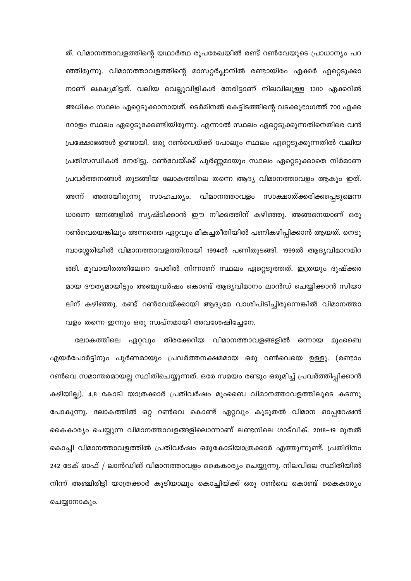ത്. വിമാനത്താവളത്തിന്റെ യഥാർത്ഥ രൂപരേഖയിൽ രണ്ട് റൺവേയുടെ പ്രാധാന്യം പറ ഞ്ഞിരുന്നു. വിമാനത്താവളത്തിന്റെ മാസറ്റർപ്ലാനിൽ രണ്ടായിരം ഏക്കർ ഏറ്റെടുക്കാ നാണ് ലക്ഷ്യമിട്ടത്. വലിയ വെല്ലുവിളികൾ നേരിട്ടാണ് നിലവിലുള്ള 1300 ഏക്കറിൽ അധികം സ്ഥലം ഏറ്റെടുക്കാനായത്. ടെർമിനൽ കെട്ടിടത്തിന്റെ വടക്കുഭാഗത്ത് 700 ഏക്ക റോളം സ്ഥലം ഏറ്റെടുക്കേണ്ടിയിരുന്നു. എന്നാൽ സ്ഥലം ഏറ്റെടുക്കുന്നതിനെതിരെ വൻ പ്രക്ഷോഭങ്ങൾ ഉണ്ടായി. ഒരു റൺവെയ്ക്ക് പോലും സ്ഥലം ഏറ്റെടുക്കുന്നതിൽ വലിയ പ്രതിസന്ധികൾ നേരിട്ടു. റൺവേയ്ക്ക് പൂർണ്ണമായും സ്ഥലം ഏറ്റെടുക്കാതെ നിർമാണ പ്രവർത്തനങ്ങൾ തുടങ്ങിയ ലോകത്തിലെ തന്നെ ആദ്യ വിമാനത്താവളം ആകും ഇത്. അന്ന് അതായിരുന്നു സാഹചര്യം. വിമാനത്താവളം സാക്ഷാത്ക്കരിക്കപ്പെടുമെന്ന ധാരണ ജനങ്ങളിൽ സൃഷ്ടിക്കാൻ ഈ നീക്കത്തിന് കഴിഞ്ഞു. അങ്ങനെയാണ് ഒരു റൺവെയെങ്കിലും അന്നത്തെ ഏറ്റവും മികച്ചരീതിയിൽ പണികഴിപ്പിക്കാൻ ആയത്. നെടു മ്പാശ്ശേരിയിൽ വിമാനത്താവളത്തിനായി 1994ൽ പണിതുടങ്ങി. 1999ൽ ആദ്യവിമാനമിറ ങ്ങി. മൂവായിരത്തിലേറെ പേരിൽ നിന്നാണ് സ്ഥലം ഏറ്റെടുത്തത്. ഇത്രയും ദുഷ്ക്കര മായ ദൗത്യമായിട്ടും അഞ്ചുവർഷം കൊണ്ട് ആദ്യവിമാനം ലാൻഡ് ചെയ്യിക്കാൻ സിയാ ലിന് കഴിഞ്ഞു. രണ്ട് റൺവേയ്ക്കായി ആദ്യമേ വാശിപിടിച്ചിരുന്നെങ്കിൽ വിമാനത്താ വളം തന്നെ ഇന്നും ഒരു സ്വപ്നമായി അവശേഷിച്ചേനേ.

ലോകത്തിലെ ഏറ്റവും തിരക്കേറിയ വിമാനത്താവളങ്ങളിൽ ഒന്നായ മുംബൈ എയർപോർട്ടിനും പൂർണമായും പ്രവർത്തനക്ഷമമായ ഒരു റൺവെയെ ഉള്ളൂ. (രണ്ടാം റൺവെ സമാന്തരമായല്ല സ്ഥിതിചെയ്യുന്നത്. ഒരേ സമയം രണ്ടും ഒരുമിച്ച് പ്രവർത്തിപ്പിക്കാൻ കഴിയില്ല). 4.8 കോടി യാത്രക്കാർ പ്രതിവർഷം മുംബൈ വിമാനത്താവളത്തിലൂടെ കടന്നു പോകുന്നു. ലോകത്തിൽ ഒറ്റ റൺവെ കൊണ്ട് ഏറ്റവും കൂടുതൽ വിമാന ഓപ്പറേഷൻ കൈകാര്യം ചെയ്യുന്ന വിമാനത്താവളങ്ങളിലൊന്നാണ് ലണ്ടനിലെ ഗാട്വിക്. 2018–19 മുതൽ കൊച്ചി വിമാനത്താവളത്തിൽ പ്രതിവർഷം ഒരുകോടിയാത്രക്കാർ എത്തുന്നുണ്ട്. പ്രതിദിനം 242 ടേക് ഓഫ് / ലാൻഡിങ് വിമാനത്താവളം കൈകാര്യം ചെയ്യുന്നു. നിലവിലെ സ്ഥിതിയിൽ നിന്ന് അഞ്ചിരിട്ടി യാത്രക്കാർ കൂടിയാലും കൊച്ചിയ്ക്ക് ഒരു റൺവെ കൊണ്ട് കൈകാര്യം ചെയ്യാനാകും.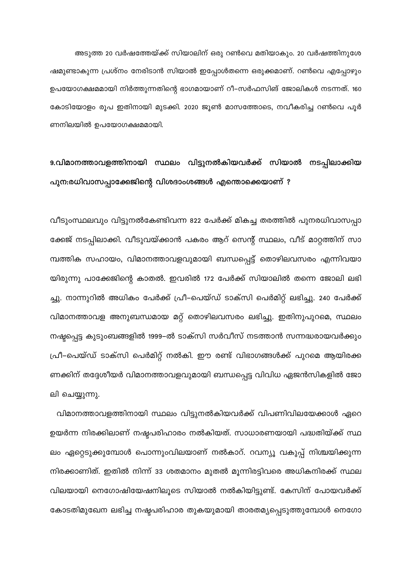അടുത്ത 20 വർഷത്തേയ്ക്ക് സിയാലിന് ഒരു റൺവെ മതിയാകും. 20 വർഷത്തിനുശേ ഷമുണ്ടാകുന്ന പ്രശ്നം നേരിടാൻ സിയാൽ ഇപ്പോൾതന്നെ ഒരുക്കമാണ്. റൺവെ എപ്പോഴും ഉപയോഗക്ഷമമായി നിർത്തുന്നതിന്റെ ഭാഗമായാണ് റീ–സർഫസിങ് ജോലികൾ നടന്നത്. 160 കോടിയോളം രൂപ ഇതിനായി മുടക്കി. 2020 ജൂൺ മാസത്തോടെ, നവീകരിച്ച റൺവെ പൂർ ണനിലയിൽ ഉപയോഗക്ഷമമായി.

## 9.വിമാനത്താവളത്തിനായി സ്ഥലം വിട്ടുനൽകിയവർക്ക് സിയാൽ നടപ്പിലാക്കിയ പുന:രധിവാസപ്പാക്കേജിന്റെ വിശദാംശങ്ങൾ എന്തൊക്കെയാണ് ?

വീടുംസ്ഥലവും വിട്ടുനൽകേണ്ടിവന്ന 822 പേർക്ക് മികച്ച തരത്തിൽ പുനരധിവാസപ്പാ ക്കേജ് നടപ്പിലാക്കി. വീടുവയ്ക്കാൻ പകരം ആറ് സെന്റ് സ്ഥലം, വീട് മാറ്റത്തിന് സാ മ്പത്തിക സഹായം, വിമാനത്താവളവുമായി ബന്ധപ്പെട്ട് തൊഴിലവസരം എന്നിവയാ യിരുന്നു പാക്കേജിന്റെ കാതൽ. ഇവരിൽ 172 പേർക്ക് സിയാലിൽ തന്നെ ജോലി ലഭി ച്ചു. നാന്നുറിൽ അധികം പേർക്ക് പ്രീ–പെയ്ഡ് ടാക്സി പെർമിറ്റ് ലഭിച്ചു. 240 പേർക്ക് വിമാനത്താവള അനുബന്ധമായ മറ്റ് തൊഴിലവസരം ലഭിച്ചു. ഇതിനുപുറമെ, സ്ഥലം നഷ്ടപ്പെട്ട കുടുംബങ്ങളിൽ 1999–ൽ ടാക്സി സർവീസ് നടത്താൻ സന്നദ്ധരായവർക്കും പ്രീ–പെയ്ഡ് ടാക്സി പെർമിറ്റ് നൽകി. ഈ രണ്ട് വിഭാഗങ്ങൾക്ക് പുറമെ ആയിരക്ക ണക്കിന് തദ്ദേശീയർ വിമാനത്താവളവുമായി ബന്ധപ്പെട്ട വിവിധ ഏജൻസികളിൽ ജോ ലി ചെയ്യുന്നു.

വിമാനത്താവളത്തിനായി സ്ഥലം വിട്ടുനൽകിയവർക്ക് വിപണിവിലയേക്കാൾ ഏറെ ഉയർന്ന നിരക്കിലാണ് നഷ്ടപരിഹാരം നൽകിയത്. സാധാരണയായി പദ്ധതിയ്ക്ക് സ്ഥ ലം ഏറ്റെടുക്കുമ്പോൾ പൊന്നുംവിലയാണ് നൽകാറ്. റവന്യൂ വകുപ്പ് നിശ്ചയിക്കുന്ന നിരക്കാണിത്. ഇതിൽ നിന്ന് 33 ശതമാനം മുതൽ മൂന്നിരട്ടിവരെ അധികനിരക്ക് സ്ഥല വിലയായി നെഗോഷിയേഷനിലൂടെ സിയാൽ നൽകിയിട്ടുണ്ട്. കേസിന് പോയവർക്ക് കോടതിമുഖേന ലഭിച്ച നഷ്ടപരിഹാര തുകയുമായി താരതമ്യപ്പെടുത്തുമ്പോൾ നെഗോ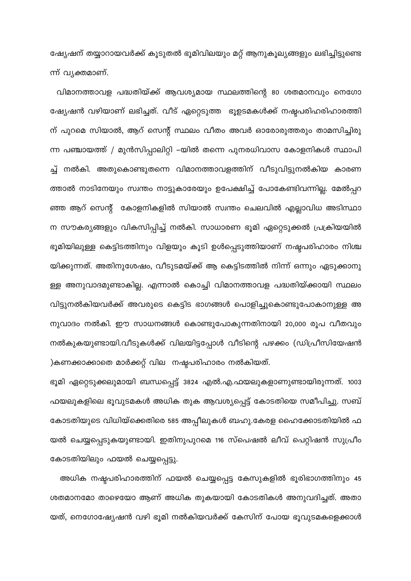ഷ്യേഷന് തയ്യാറായവർക്ക് കൂടുതൽ ഭൂമിവിലയും മറ്റ് ആനുകൂല്യങ്ങളും ലഭിച്ചിട്ടുണ്ടെ ന്ന് വൃക്തമാണ്.

വിമാനത്താവള പദ്ധതിയ്ക്ക് ആവശ്യമായ സ്ഥലത്തിന്റെ 80 ശതമാനവും നെഗോ ഷ്യേഷൻ വഴിയാണ് ലഭിച്ചത്. വീട് ഏറ്റെടുത്ത ഭൂഉടമകൾക്ക് നഷ്ടപരിഹരിഹാരത്തി ന് പുറമെ സിയാൽ, ആറ് സെന്റ് സ്ഥലം വീതം അവർ ഓരോരുത്തരും താമസിച്ചിരു ന്ന പഞ്ചായത്ത് / മുൻസിപ്പാലിറ്റി –യിൽ തന്നെ പുനരധിവാസ കോളനികൾ സ്ഥാപി ച്ച് നൽകി. അതുകൊണ്ടുതന്നെ വിമാനത്താവളത്തിന് വീടുവിട്ടുനൽകിയ കാരണ ത്താൽ നാടിനേയും സ്വന്തം നാട്ടുകാരേയും ഉപേക്ഷിച്ച് പോകേണ്ടിവന്നില്ല. മേൽപ്പറ ഞ്ഞ ആറ് സെന്റ് കോളനികളിൽ സിയാൽ സ്വന്തം ചെലവിൽ എല്ലാവിധ അടിസ്ഥാ ന സൗകര്യങ്ങളും വികസിപ്പിച്ച് നൽകി. സാധാരണ ഭൂമി ഏറ്റെടുക്കൽ പ്രക്രിയയിൽ ഭൂമിയിലുള്ള കെട്ടിടത്തിനും വിളയും കൂടി ഉൾപ്പെടുത്തിയാണ് നഷ്ടപരിഹാരം നിശ്ച യിക്കുന്നത്. അതിനുശേഷം, വീടുടമയ്ക്ക് ആ കെട്ടിടത്തിൽ നിന്ന് ഒന്നും ഏടുക്കാനു ള്ള അനുവാദമുണ്ടാകില്ല. എന്നാൽ കൊച്ചി വിമാനത്താവള പദ്ധതിയ്ക്കായി സ്ഥലം വിട്ടുനൽകിയവർക്ക് അവരുടെ കെട്ടിട ഭാഗങ്ങൾ പൊളിച്ചുകൊണ്ടുപോകാനുള്ള അ നുവാദം നൽകി. ഈ സാധനങ്ങൾ കൊണ്ടുപോകുന്നതിനായി 20,000 രൂപ വീതവും നൽകുകയുണ്ടായി.വീടുകൾക്ക് വിലയിട്ടപ്പോൾ വീടിന്റെ പഴക്കം (ഡിപ്രീസിയേഷൻ )കണക്കാക്കാതെ മാർക്കറ്റ് വില നഷ്ടപരിഹാരം നൽകിയത്.

ഭൂമി ഏറ്റെടുക്കലുമായി ബന്ധപ്പെട്ട് 3824 എൽ.എ.ഫയലുകളാണുണ്ടായിരുന്നത്. 1003 ഫയലുകളിലെ ഭൂവുടമകൾ അധിക തുക ആവശ്യപ്പെട്ട് കോടതിയെ സമീപിച്ചു. സബ് കോടതിയുടെ വിധിയ്ക്കെതിരെ 585 അപ്പീലുകൾ ബഹു.കേരള ഹൈക്കോടതിയിൽ ഫ യൽ ചെയ്യപ്പെടുകയുണ്ടായി. ഇതിനുപുറമെ 116 സ്പെഷൽ ലീവ് പെറ്റിഷൻ സുപ്രീം കോടതിയിലും ഫയൽ ചെയ്യപ്പെട്ടു.

അധിക നഷ്ടപരിഹാരത്തിന് ഫയൽ ചെയ്യപ്പെട്ട കേസുകളിൽ ഭൂരിഭാഗത്തിനും 45 ശതമാനമോ താഴെയോ ആണ് അധിക തുകയായി കോടതികൾ അനുവദിച്ചത്. അതാ യത്, നെഗോഷ്യേഷൻ വഴി ഭൂമി നൽകിയവർക്ക് കേസിന് പോയ ഭൂവുടമകളെക്കാൾ